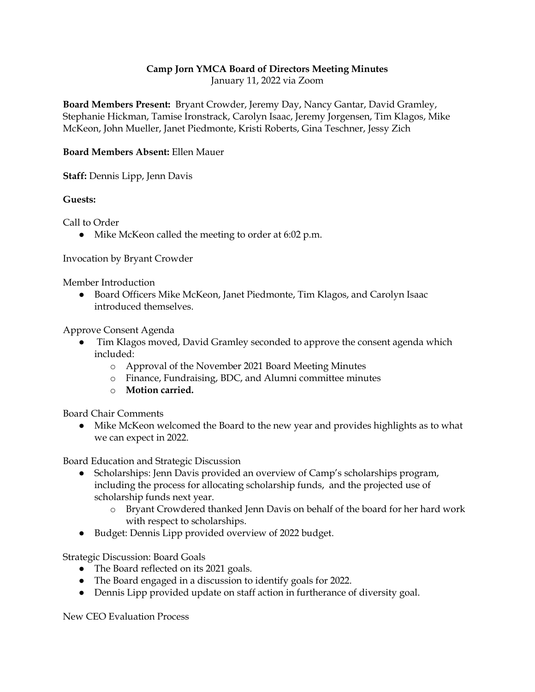## **Camp Jorn YMCA Board of Directors Meeting Minutes**

January 11, 2022 via Zoom

**Board Members Present:** Bryant Crowder, Jeremy Day, Nancy Gantar, David Gramley, Stephanie Hickman, Tamise Ironstrack, Carolyn Isaac, Jeremy Jorgensen, Tim Klagos, Mike McKeon, John Mueller, Janet Piedmonte, Kristi Roberts, Gina Teschner, Jessy Zich

## **Board Members Absent:** Ellen Mauer

**Staff:** Dennis Lipp, Jenn Davis

## **Guests:**

Call to Order

● Mike McKeon called the meeting to order at 6:02 p.m.

## Invocation by Bryant Crowder

Member Introduction

● Board Officers Mike McKeon, Janet Piedmonte, Tim Klagos, and Carolyn Isaac introduced themselves.

Approve Consent Agenda

- Tim Klagos moved, David Gramley seconded to approve the consent agenda which included:
	- o Approval of the November 2021 Board Meeting Minutes
	- o Finance, Fundraising, BDC, and Alumni committee minutes
	- o **Motion carried.**

Board Chair Comments

● Mike McKeon welcomed the Board to the new year and provides highlights as to what we can expect in 2022.

Board Education and Strategic Discussion

- Scholarships: Jenn Davis provided an overview of Camp's scholarships program, including the process for allocating scholarship funds, and the projected use of scholarship funds next year.
	- o Bryant Crowdered thanked Jenn Davis on behalf of the board for her hard work with respect to scholarships.
- Budget: Dennis Lipp provided overview of 2022 budget.

Strategic Discussion: Board Goals

- The Board reflected on its 2021 goals.
- The Board engaged in a discussion to identify goals for 2022.
- Dennis Lipp provided update on staff action in furtherance of diversity goal.

New CEO Evaluation Process